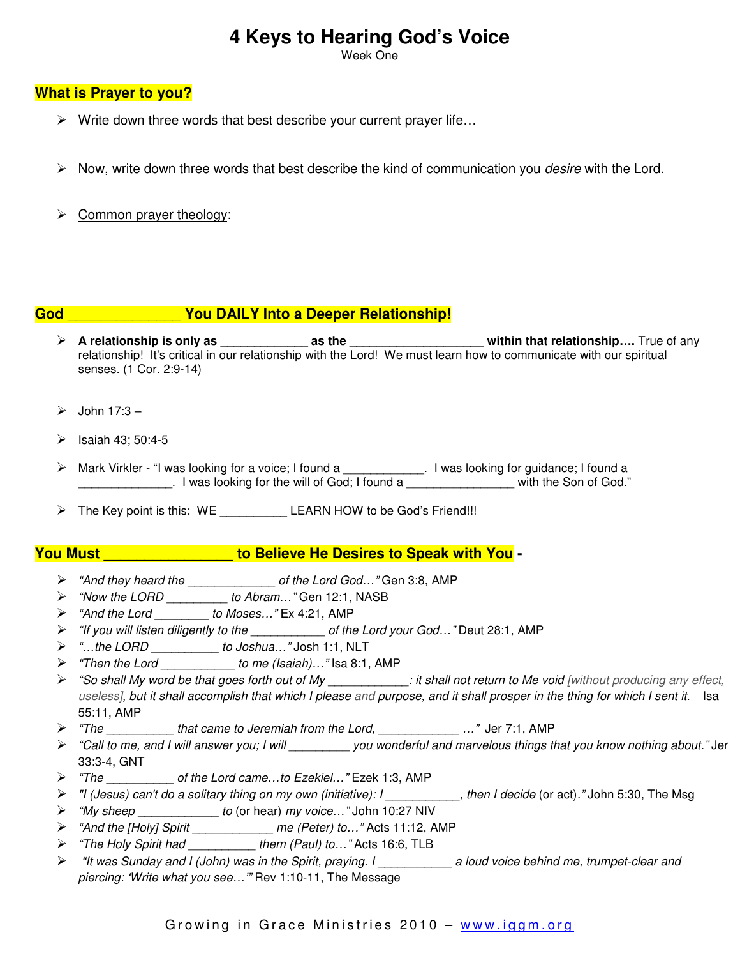# **4 Keys to Hearing God's Voice**

Week One

### **What is Prayer to you?**

- $\triangleright$  Write down three words that best describe your current prayer life...
- $\triangleright$  Now, write down three words that best describe the kind of communication you *desire* with the Lord.
- $\triangleright$  Common prayer theology:

## **God** \_\_\_\_\_\_\_\_\_\_\_\_\_\_ **You DAILY Into a Deeper Relationship!**

- **A relationship is only as** \_\_\_\_\_\_\_\_\_\_\_\_\_ **as the** \_\_\_\_\_\_\_\_\_\_\_\_\_\_\_\_\_\_\_\_ **within that relationship….** True of any relationship! It's critical in our relationship with the Lord! We must learn how to communicate with our spiritual senses. (1 Cor. 2:9-14)
- $\geq$  John 17:3 –
- $\triangleright$  Isaiah 43; 50:4-5
- > Mark Virkler "I was looking for a voice; I found a \_\_\_\_\_\_\_\_\_\_\_\_. I was looking for guidance; I found a \_\_\_\_\_\_\_\_\_\_\_\_\_\_. I was looking for the will of God; I found a \_\_\_\_\_\_\_\_\_\_\_\_\_\_\_\_ with the Son of God."
- > The Key point is this: WE \_\_\_\_\_\_\_\_\_\_\_\_ LEARN HOW to be God's Friend!!!

### **You Must** \_\_\_\_\_\_\_\_\_\_\_\_\_\_\_\_ **to Believe He Desires to Speak with You -**

- "And they heard the \_\_\_\_\_\_\_\_\_\_\_\_\_ of the Lord God…" Gen 3:8, AMP
- > "Now the LORD \_\_\_\_\_\_\_\_\_ to Abram..." Gen 12:1, NASB
- "And the Lord \_\_\_\_\_\_\_\_ to Moses…" Ex 4:21, AMP
- > "If you will listen diligently to the \_\_\_\_\_\_\_\_\_\_\_\_\_ of the Lord your God..." Deut 28:1, AMP
- "…the LORD \_\_\_\_\_\_\_\_\_\_ to Joshua…" Josh 1:1, NLT
- $\triangleright$  "Then the Lord \_\_\_\_\_\_\_\_\_\_\_\_\_ to me (Isaiah)..." Isa 8:1, AMP
- > "So shall My word be that goes forth out of My \_\_\_\_\_\_\_\_\_\_\_\_: it shall not return to Me void [without producing any effect, useless], but it shall accomplish that which I please and purpose, and it shall prosper in the thing for which I sent it. Isa 55:11, AMP
- > "The \_\_\_\_\_\_\_\_\_\_\_ that came to Jeremiah from the Lord, \_\_\_\_\_\_\_\_\_\_\_\_\_\_\_ ..." Jer 7:1, AMP
- > "Call to me, and I will answer you; I will you wonderful and marvelous things that you know nothing about." Jer 33:3-4, GNT
- "The \_\_\_\_\_\_\_\_\_\_ of the Lord came…to Ezekiel…" Ezek 1:3, AMP
- > "I (Jesus) can't do a solitary thing on my own (initiative): I \_\_\_\_\_\_\_\_\_\_, then I decide (or act)." John 5:30, The Msg
- "My sheep \_\_\_\_\_\_\_\_\_\_\_\_ to (or hear) my voice…" John 10:27 NIV
- "And the [Holy] Spirit \_\_\_\_\_\_\_\_\_\_\_\_ me (Peter) to…" Acts 11:12, AMP
- > "The Holy Spirit had \_\_\_\_\_\_\_\_\_\_\_ them (Paul) to..." Acts 16:6, TLB
- > "It was Sunday and I (John) was in the Spirit, praying. I \_\_\_\_\_\_\_\_\_\_\_\_\_ a loud voice behind me, trumpet-clear and piercing: 'Write what you see…'" Rev 1:10-11, The Message